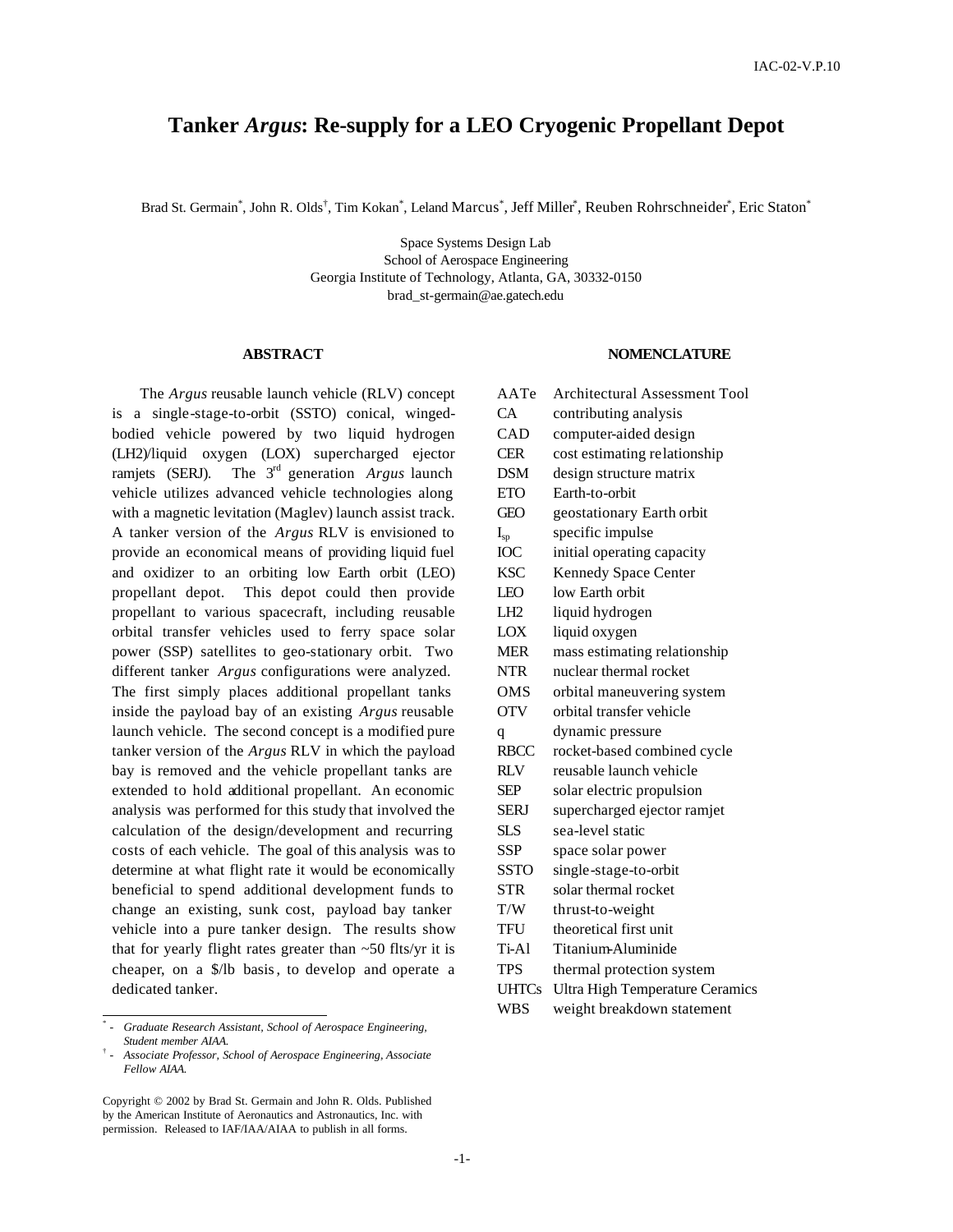## **Tanker** *Argus***: Re-supply for a LEO Cryogenic Propellant Depot**

Brad St. Germain\*, John R. Olds†, Tim Kokan\*, Leland Marcus\*, Jeff Miller\*, Reuben Rohrschneider\*, Eric Staton\*

Space Systems Design Lab School of Aerospace Engineering Georgia Institute of Technology, Atlanta, GA, 30332-0150 brad\_st-germain@ae.gatech.edu

#### **ABSTRACT**

The *Argus* reusable launch vehicle (RLV) concept is a single-stage-to-orbit (SSTO) conical, wingedbodied vehicle powered by two liquid hydrogen (LH2)/liquid oxygen (LOX) supercharged ejector ramjets (SERJ). The 3<sup>rd</sup> generation *Argus* launch vehicle utilizes advanced vehicle technologies along with a magnetic levitation (Maglev) launch assist track. A tanker version of the *Argus* RLV is envisioned to provide an economical means of providing liquid fuel and oxidizer to an orbiting low Earth orbit (LEO) propellant depot. This depot could then provide propellant to various spacecraft, including reusable orbital transfer vehicles used to ferry space solar power (SSP) satellites to geo-stationary orbit. Two different tanker *Argus* configurations were analyzed. The first simply places additional propellant tanks inside the payload bay of an existing *Argus* reusable launch vehicle. The second concept is a modified pure tanker version of the *Argus* RLV in which the payload bay is removed and the vehicle propellant tanks are extended to hold additional propellant. An economic analysis was performed for this study that involved the calculation of the design/development and recurring costs of each vehicle. The goal of this analysis was to determine at what flight rate it would be economically beneficial to spend additional development funds to change an existing, sunk cost, payload bay tanker vehicle into a pure tanker design. The results show that for yearly flight rates greater than  $~50$  flts/yr it is cheaper, on a \$/lb basis, to develop and operate a dedicated tanker.

#### **NOMENCLATURE**

| AATe            | <b>Architectural Assessment Tool</b>   |  |
|-----------------|----------------------------------------|--|
| CA              | contributing analysis                  |  |
| CAD             | computer-aided design                  |  |
| <b>CER</b>      | cost estimating relationship           |  |
| <b>DSM</b>      | design structure matrix                |  |
| <b>ETO</b>      | Earth-to-orbit                         |  |
| <b>GEO</b>      | geostationary Earth orbit              |  |
| $I_{sp}$        | specific impulse                       |  |
| IOC             | initial operating capacity             |  |
| <b>KSC</b>      | Kennedy Space Center                   |  |
| LEO             | low Earth orbit                        |  |
| LH <sub>2</sub> | liquid hydrogen                        |  |
| LOX             | liquid oxygen                          |  |
| <b>MER</b>      | mass estimating relationship           |  |
| <b>NTR</b>      | nuclear thermal rocket                 |  |
| <b>OMS</b>      | orbital maneuvering system             |  |
| <b>OTV</b>      | orbital transfer vehicle               |  |
| q               | dynamic pressure                       |  |
| <b>RBCC</b>     | rocket-based combined cycle            |  |
| <b>RLV</b>      | reusable launch vehicle                |  |
| <b>SEP</b>      | solar electric propulsion              |  |
| <b>SERJ</b>     | supercharged ejector ramjet            |  |
| <b>SLS</b>      | sea-level static                       |  |
| <b>SSP</b>      | space solar power                      |  |
| <b>SSTO</b>     | single-stage-to-orbit                  |  |
| <b>STR</b>      | solar thermal rocket                   |  |
| T/W             | thrust-to-weight                       |  |
| <b>TFU</b>      | theoretical first unit                 |  |
| Ti-Al           | Titanium-Aluminide                     |  |
| <b>TPS</b>      | thermal protection system              |  |
| <b>UHTCs</b>    | <b>Ultra High Temperature Ceramics</b> |  |
| <b>WBS</b>      | weight breakdown statement             |  |

<sup>\*</sup> *- Graduate Research Assistant, School of Aerospace Engineering, Student member AIAA.*

<sup>†</sup> *- Associate Professor, School of Aerospace Engineering, Associate Fellow AIAA.*

Copyright © 2002 by Brad St. Germain and John R. Olds. Published by the American Institute of Aeronautics and Astronautics, Inc. with permission. Released to IAF/IAA/AIAA to publish in all forms.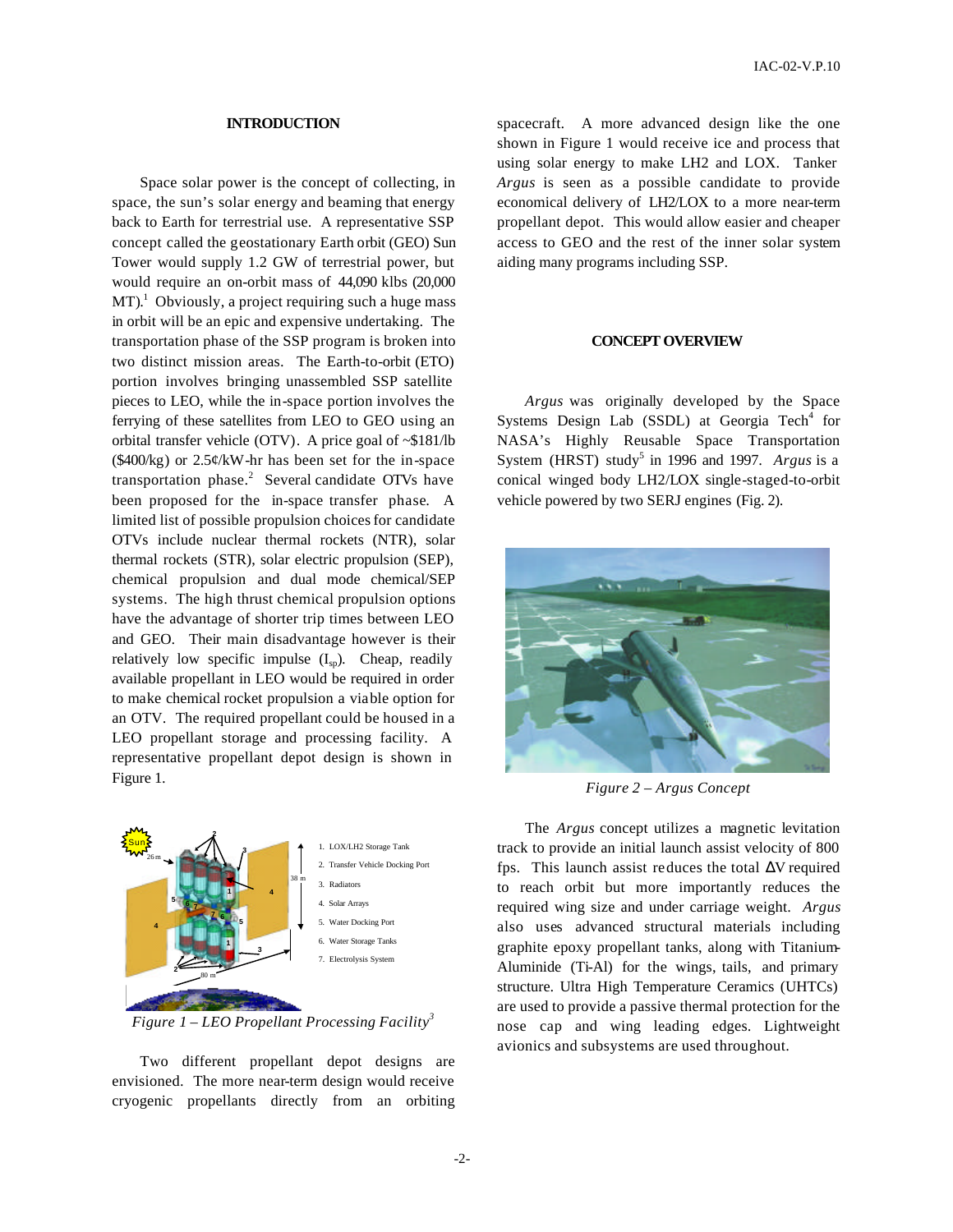## **INTRODUCTION**

Space solar power is the concept of collecting, in space, the sun's solar energy and beaming that energy back to Earth for terrestrial use. A representative SSP concept called the geostationary Earth orbit (GEO) Sun Tower would supply 1.2 GW of terrestrial power, but would require an on-orbit mass of 44,090 klbs (20,000 MT).<sup>1</sup> Obviously, a project requiring such a huge mass in orbit will be an epic and expensive undertaking. The transportation phase of the SSP program is broken into two distinct mission areas. The Earth-to-orbit (ETO) portion involves bringing unassembled SSP satellite pieces to LEO, while the in-space portion involves the ferrying of these satellites from LEO to GEO using an orbital transfer vehicle (OTV). A price goal of ~\$181/lb  $(\$400/kg)$  or  $2.5¢/kW$ -hr has been set for the in-space transportation  $phase<sup>2</sup>$  Several candidate OTVs have been proposed for the in-space transfer phase. A limited list of possible propulsion choices for candidate OTVs include nuclear thermal rockets (NTR), solar thermal rockets (STR), solar electric propulsion (SEP), chemical propulsion and dual mode chemical/SEP systems. The high thrust chemical propulsion options have the advantage of shorter trip times between LEO and GEO. Their main disadvantage however is their relatively low specific impulse  $(I_{\rm SD})$ . Cheap, readily available propellant in LEO would be required in order to make chemical rocket propulsion a viable option for an OTV. The required propellant could be housed in a LEO propellant storage and processing facility. A representative propellant depot design is shown in Figure 1.



*Figure 1 – LEO Propellant Processing Facility<sup>3</sup>*

Two different propellant depot designs are envisioned. The more near-term design would receive cryogenic propellants directly from an orbiting spacecraft. A more advanced design like the one shown in Figure 1 would receive ice and process that using solar energy to make LH2 and LOX. Tanker *Argus* is seen as a possible candidate to provide economical delivery of LH2/LOX to a more near-term propellant depot. This would allow easier and cheaper access to GEO and the rest of the inner solar system aiding many programs including SSP.

## **CONCEPT OVERVIEW**

*Argus* was originally developed by the Space Systems Design Lab (SSDL) at Georgia Tech<sup>4</sup> for NASA's Highly Reusable Space Transportation System (HRST) study<sup>5</sup> in 1996 and 1997. Argus is a conical winged body LH2/LOX single-staged-to-orbit vehicle powered by two SERJ engines (Fig. 2).



*Figure 2 – Argus Concept*

The *Argus* concept utilizes a magnetic levitation track to provide an initial launch assist velocity of 800 fps. This launch assist reduces the total ΔV required to reach orbit but more importantly reduces the required wing size and under carriage weight. *Argus* also uses advanced structural materials including graphite epoxy propellant tanks, along with Titanium-Aluminide (Ti-Al) for the wings, tails, and primary structure. Ultra High Temperature Ceramics (UHTCs) are used to provide a passive thermal protection for the nose cap and wing leading edges. Lightweight avionics and subsystems are used throughout.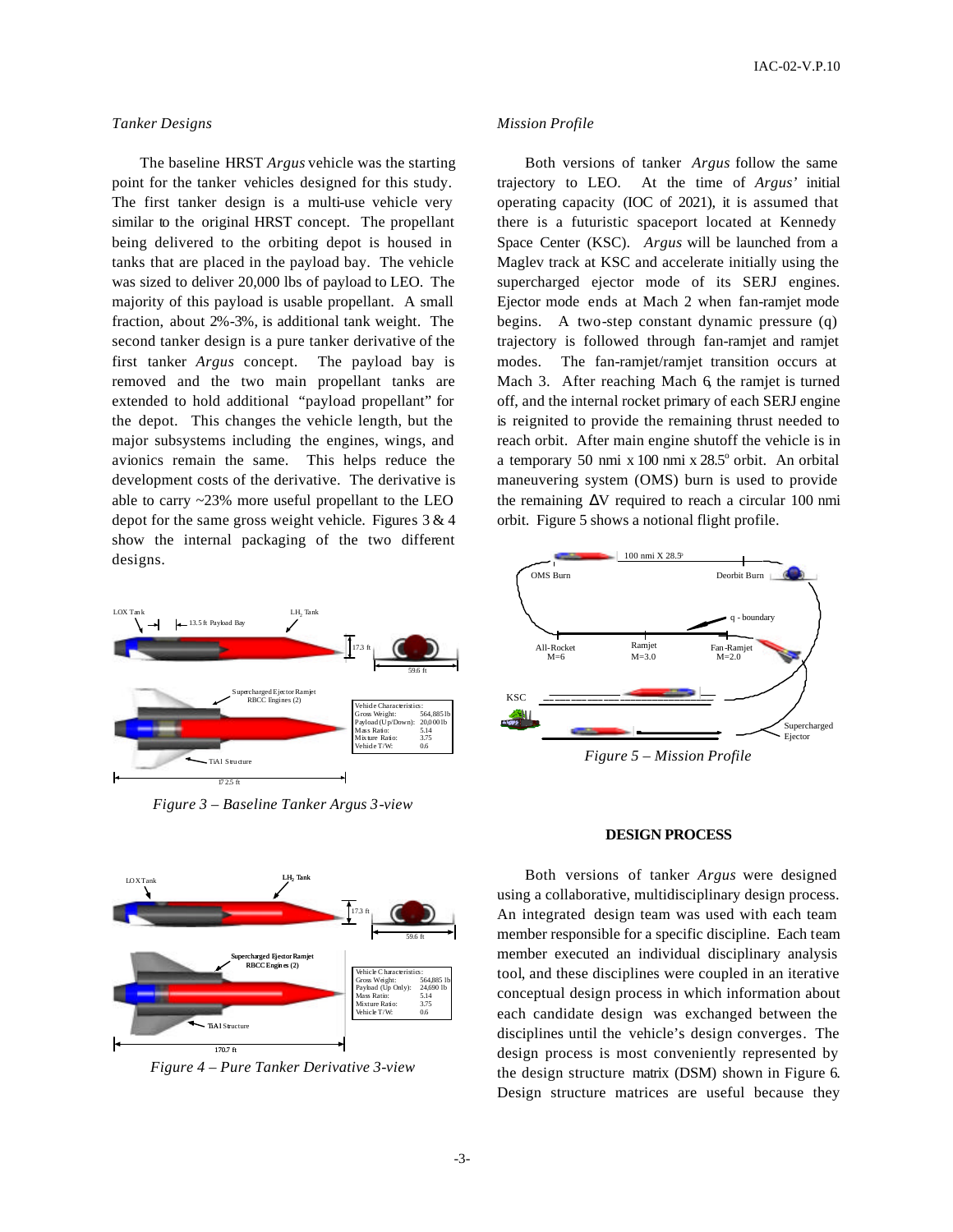## *Tanker Designs*

The baseline HRST *Argus* vehicle was the starting point for the tanker vehicles designed for this study. The first tanker design is a multi-use vehicle very similar to the original HRST concept. The propellant being delivered to the orbiting depot is housed in tanks that are placed in the payload bay. The vehicle was sized to deliver 20,000 lbs of payload to LEO. The majority of this payload is usable propellant. A small fraction, about 2%-3%, is additional tank weight. The second tanker design is a pure tanker derivative of the first tanker *Argus* concept. The payload bay is removed and the two main propellant tanks are extended to hold additional "payload propellant" for the depot. This changes the vehicle length, but the major subsystems including the engines, wings, and avionics remain the same. This helps reduce the development costs of the derivative. The derivative is able to carry ~23% more useful propellant to the LEO depot for the same gross weight vehicle. Figures  $3 & 4$ show the internal packaging of the two different designs.



*Figure 3 – Baseline Tanker Argus 3-view*



*Figure 4 – Pure Tanker Derivative 3-view*

## *Mission Profile*

Both versions of tanker *Argus* follow the same trajectory to LEO. At the time of *Argus'* initial operating capacity (IOC of 2021), it is assumed that there is a futuristic spaceport located at Kennedy Space Center (KSC). *Argus* will be launched from a Maglev track at KSC and accelerate initially using the supercharged ejector mode of its SERJ engines. Ejector mode ends at Mach 2 when fan-ramjet mode begins. A two-step constant dynamic pressure (q) trajectory is followed through fan-ramjet and ramjet modes. The fan-ramjet/ramjet transition occurs at Mach 3. After reaching Mach 6, the ramjet is turned off, and the internal rocket primary of each SERJ engine is reignited to provide the remaining thrust needed to reach orbit. After main engine shutoff the vehicle is in a temporary 50 nmi x 100 nmi x 28.5° orbit. An orbital maneuvering system (OMS) burn is used to provide the remaining  $\Delta V$  required to reach a circular 100 nmi orbit. Figure 5 shows a notional flight profile.



*Figure 5 – Mission Profile*

## **DESIGN PROCESS**

Both versions of tanker *Argus* were designed using a collaborative, multidisciplinary design process. An integrated design team was used with each team member responsible for a specific discipline. Each team member executed an individual disciplinary analysis tool, and these disciplines were coupled in an iterative conceptual design process in which information about each candidate design was exchanged between the disciplines until the vehicle's design converges. The design process is most conveniently represented by the design structure matrix (DSM) shown in Figure 6. Design structure matrices are useful because they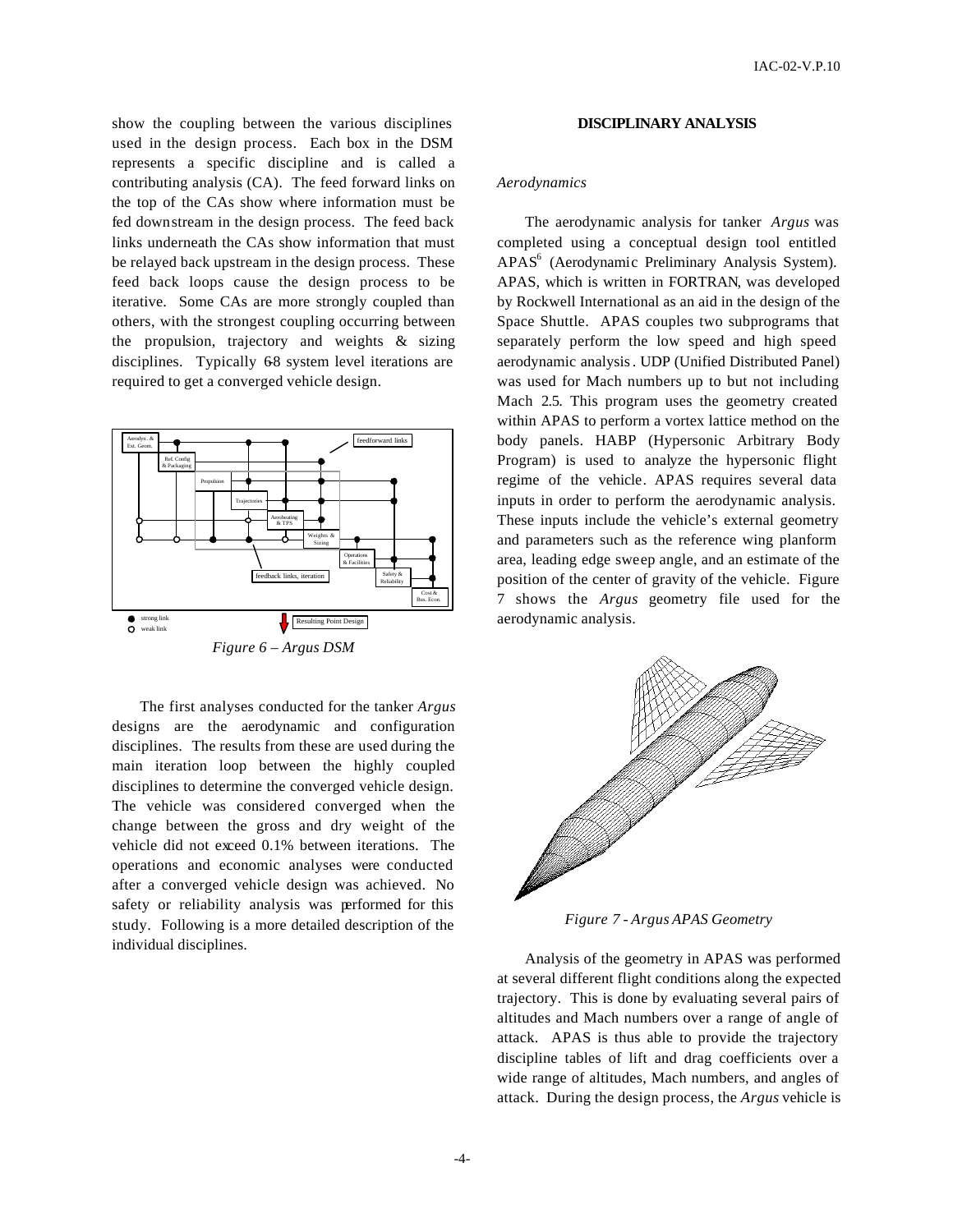show the coupling between the various disciplines used in the design process. Each box in the DSM represents a specific discipline and is called a contributing analysis (CA). The feed forward links on the top of the CAs show where information must be fed downstream in the design process. The feed back links underneath the CAs show information that must be relayed back upstream in the design process. These feed back loops cause the design process to be iterative. Some CAs are more strongly coupled than others, with the strongest coupling occurring between the propulsion, trajectory and weights & sizing disciplines. Typically 68 system level iterations are required to get a converged vehicle design.



The first analyses conducted for the tanker *Argus* designs are the aerodynamic and configuration disciplines. The results from these are used during the main iteration loop between the highly coupled disciplines to determine the converged vehicle design. The vehicle was considered converged when the change between the gross and dry weight of the vehicle did not exceed 0.1% between iterations. The operations and economic analyses were conducted after a converged vehicle design was achieved. No safety or reliability analysis was performed for this study. Following is a more detailed description of the individual disciplines.

## **DISCIPLINARY ANALYSIS**

## *Aerodynamics*

The aerodynamic analysis for tanker *Argus* was completed using a conceptual design tool entitled APAS<sup>6</sup> (Aerodynamic Preliminary Analysis System). APAS, which is written in FORTRAN, was developed by Rockwell International as an aid in the design of the Space Shuttle. APAS couples two subprograms that separately perform the low speed and high speed aerodynamic analysis. UDP (Unified Distributed Panel) was used for Mach numbers up to but not including Mach 2.5. This program uses the geometry created within APAS to perform a vortex lattice method on the body panels. HABP (Hypersonic Arbitrary Body Program) is used to analyze the hypersonic flight regime of the vehicle. APAS requires several data inputs in order to perform the aerodynamic analysis. These inputs include the vehicle's external geometry and parameters such as the reference wing planform area, leading edge sweep angle, and an estimate of the position of the center of gravity of the vehicle. Figure 7 shows the *Argus* geometry file used for the aerodynamic analysis.



*Figure 7 - Argus APAS Geometry*

Analysis of the geometry in APAS was performed at several different flight conditions along the expected trajectory. This is done by evaluating several pairs of altitudes and Mach numbers over a range of angle of attack. APAS is thus able to provide the trajectory discipline tables of lift and drag coefficients over a wide range of altitudes, Mach numbers, and angles of attack. During the design process, the *Argus* vehicle is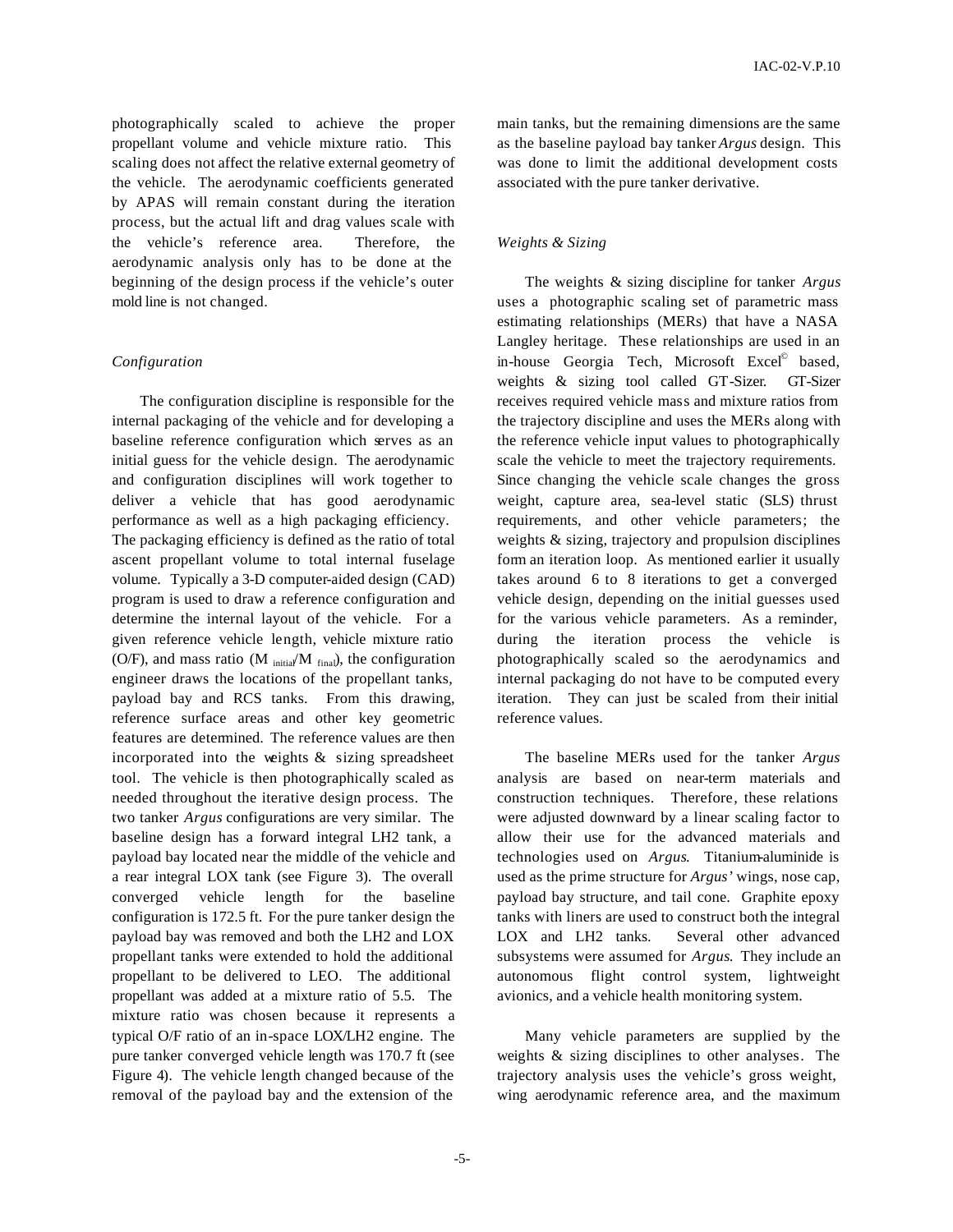photographically scaled to achieve the proper propellant volume and vehicle mixture ratio. This scaling does not affect the relative external geometry of the vehicle. The aerodynamic coefficients generated by APAS will remain constant during the iteration process, but the actual lift and drag values scale with the vehicle's reference area. Therefore, the aerodynamic analysis only has to be done at the beginning of the design process if the vehicle's outer mold line is not changed.

## *Configuration*

The configuration discipline is responsible for the internal packaging of the vehicle and for developing a baseline reference configuration which serves as an initial guess for the vehicle design. The aerodynamic and configuration disciplines will work together to deliver a vehicle that has good aerodynamic performance as well as a high packaging efficiency. The packaging efficiency is defined as the ratio of total ascent propellant volume to total internal fuselage volume. Typically a 3-D computer-aided design (CAD) program is used to draw a reference configuration and determine the internal layout of the vehicle. For a given reference vehicle length, vehicle mixture ratio (O/F), and mass ratio (M  $_{initial}$ /M  $_{final}$ ), the configuration engineer draws the locations of the propellant tanks, payload bay and RCS tanks. From this drawing, reference surface areas and other key geometric features are determined. The reference values are then incorporated into the weights & sizing spreadsheet tool. The vehicle is then photographically scaled as needed throughout the iterative design process. The two tanker *Argus* configurations are very similar. The baseline design has a forward integral LH2 tank, a payload bay located near the middle of the vehicle and a rear integral LOX tank (see Figure 3). The overall converged vehicle length for the baseline configuration is 172.5 ft. For the pure tanker design the payload bay was removed and both the LH2 and LOX propellant tanks were extended to hold the additional propellant to be delivered to LEO. The additional propellant was added at a mixture ratio of 5.5. The mixture ratio was chosen because it represents a typical O/F ratio of an in-space LOX/LH2 engine. The pure tanker converged vehicle length was 170.7 ft (see Figure 4). The vehicle length changed because of the removal of the payload bay and the extension of the

main tanks, but the remaining dimensions are the same as the baseline payload bay tanker *Argus* design. This was done to limit the additional development costs associated with the pure tanker derivative.

## *Weights & Sizing*

The weights & sizing discipline for tanker *Argus* uses a photographic scaling set of parametric mass estimating relationships (MERs) that have a NASA Langley heritage. These relationships are used in an in-house Georgia Tech, Microsoft Excel<sup>®</sup> based, weights & sizing tool called GT-Sizer. GT-Sizer receives required vehicle mass and mixture ratios from the trajectory discipline and uses the MERs along with the reference vehicle input values to photographically scale the vehicle to meet the trajectory requirements. Since changing the vehicle scale changes the gross weight, capture area, sea-level static (SLS) thrust requirements, and other vehicle parameters; the weights & sizing, trajectory and propulsion disciplines form an iteration loop. As mentioned earlier it usually takes around 6 to 8 iterations to get a converged vehicle design, depending on the initial guesses used for the various vehicle parameters. As a reminder, during the iteration process the vehicle is photographically scaled so the aerodynamics and internal packaging do not have to be computed every iteration. They can just be scaled from their initial reference values.

The baseline MERs used for the tanker *Argus*  analysis are based on near-term materials and construction techniques. Therefore, these relations were adjusted downward by a linear scaling factor to allow their use for the advanced materials and technologies used on *Argus*. Titanium-aluminide is used as the prime structure for *Argus'* wings, nose cap, payload bay structure, and tail cone. Graphite epoxy tanks with liners are used to construct both the integral LOX and LH2 tanks. Several other advanced subsystems were assumed for *Argus*. They include an autonomous flight control system, lightweight avionics, and a vehicle health monitoring system.

Many vehicle parameters are supplied by the weights & sizing disciplines to other analyses. The trajectory analysis uses the vehicle's gross weight, wing aerodynamic reference area, and the maximum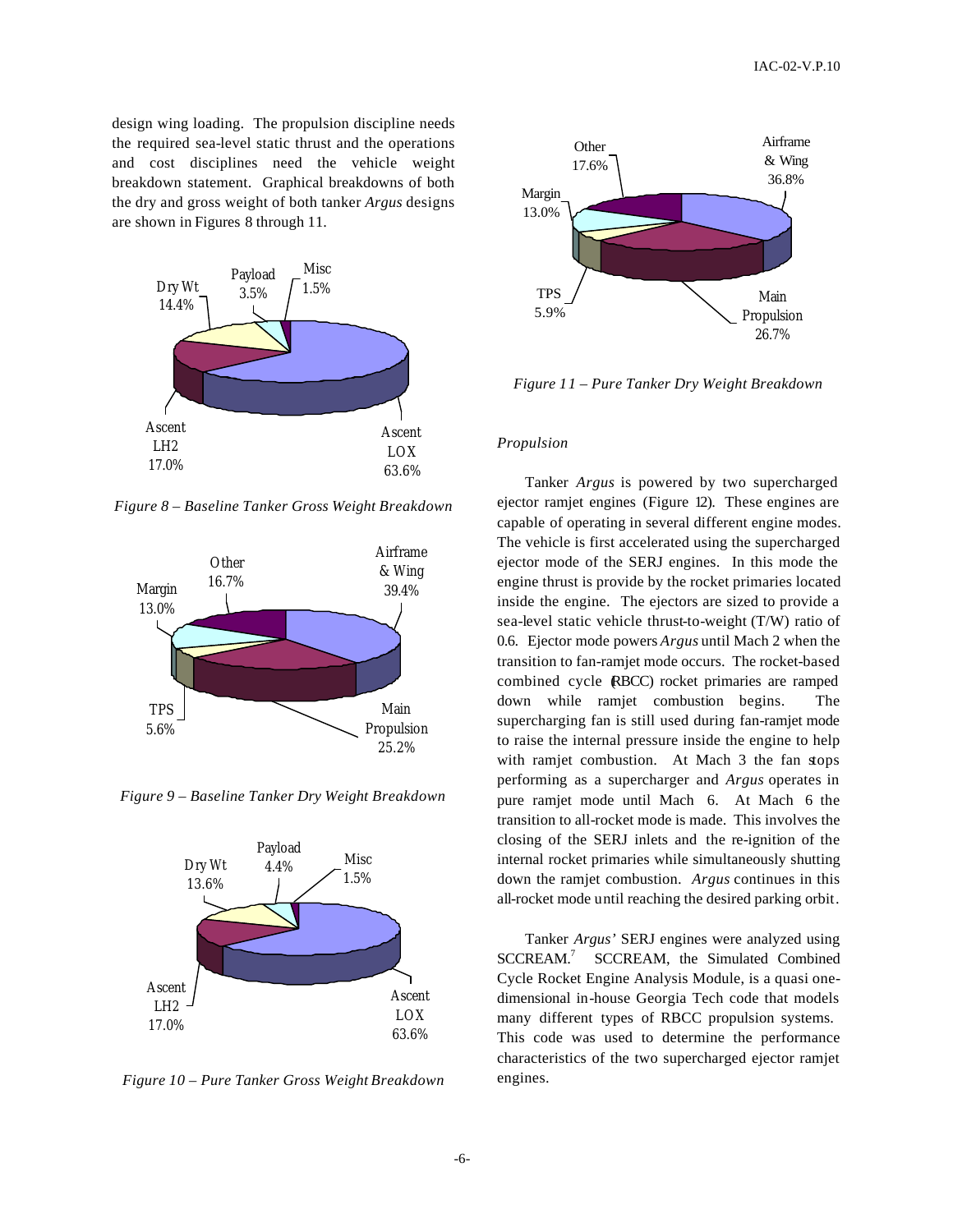design wing loading. The propulsion discipline needs the required sea-level static thrust and the operations and cost disciplines need the vehicle weight breakdown statement. Graphical breakdowns of both the dry and gross weight of both tanker *Argus* designs are shown in Figures 8 through 11.



*Figure 8 – Baseline Tanker Gross Weight Breakdown*



*Figure 9 – Baseline Tanker Dry Weight Breakdown*



*Figure 10 – Pure Tanker Gross Weight Breakdown*



*Figure 11 – Pure Tanker Dry Weight Breakdown*

## *Propulsion*

Tanker *Argus* is powered by two supercharged ejector ramjet engines (Figure 12). These engines are capable of operating in several different engine modes. The vehicle is first accelerated using the supercharged ejector mode of the SERJ engines. In this mode the engine thrust is provide by the rocket primaries located inside the engine. The ejectors are sized to provide a sea-level static vehicle thrust-to-weight (T/W) ratio of 0.6. Ejector mode powers *Argus* until Mach 2 when the transition to fan-ramjet mode occurs. The rocket-based combined cycle (RBCC) rocket primaries are ramped down while ramjet combustion begins. The supercharging fan is still used during fan-ramjet mode to raise the internal pressure inside the engine to help with ramjet combustion. At Mach 3 the fan stops performing as a supercharger and *Argus* operates in pure ramjet mode until Mach 6. At Mach 6 the transition to all-rocket mode is made. This involves the closing of the SERJ inlets and the re-ignition of the internal rocket primaries while simultaneously shutting down the ramjet combustion. *Argus* continues in this all-rocket mode until reaching the desired parking orbit.

Tanker *Argus'* SERJ engines were analyzed using SCCREAM. 7 SCCREAM, the Simulated Combined Cycle Rocket Engine Analysis Module, is a quasi onedimensional in-house Georgia Tech code that models many different types of RBCC propulsion systems. This code was used to determine the performance characteristics of the two supercharged ejector ramjet engines.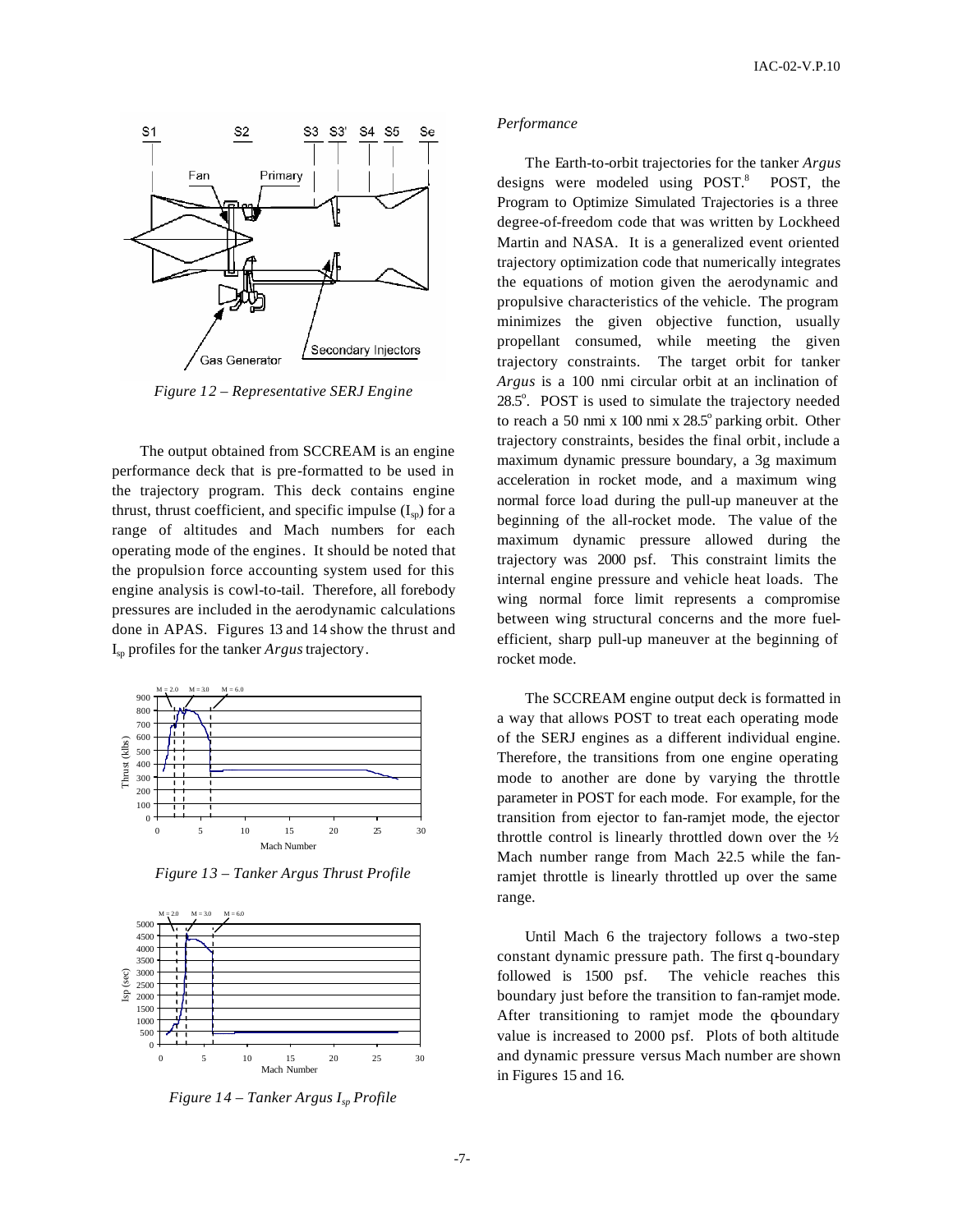

*Figure 12 – Representative SERJ Engine*

The output obtained from SCCREAM is an engine performance deck that is pre-formatted to be used in the trajectory program. This deck contains engine thrust, thrust coefficient, and specific impulse  $(I_{\rm SD})$  for a range of altitudes and Mach numbers for each operating mode of the engines. It should be noted that the propulsion force accounting system used for this engine analysis is cowl-to-tail. Therefore, all forebody pressures are included in the aerodynamic calculations done in APAS. Figures 13 and 14 show the thrust and Isp profiles for the tanker *Argus* trajectory.



*Figure 13 – Tanker Argus Thrust Profile*



*Figure 14 – Tanker Argus Isp Profile*

## *Performance*

The Earth-to-orbit trajectories for the tanker *Argus* designs were modeled using POST.<sup>8</sup> POST, the Program to Optimize Simulated Trajectories is a three degree-of-freedom code that was written by Lockheed Martin and NASA. It is a generalized event oriented trajectory optimization code that numerically integrates the equations of motion given the aerodynamic and propulsive characteristics of the vehicle. The program minimizes the given objective function, usually propellant consumed, while meeting the given trajectory constraints. The target orbit for tanker *Argus* is a 100 nmi circular orbit at an inclination of 28.5°. POST is used to simulate the trajectory needed to reach a 50 nmi x  $100$  nmi x  $28.5^\circ$  parking orbit. Other trajectory constraints, besides the final orbit, include a maximum dynamic pressure boundary, a 3g maximum acceleration in rocket mode, and a maximum wing normal force load during the pull-up maneuver at the beginning of the all-rocket mode. The value of the maximum dynamic pressure allowed during the trajectory was 2000 psf. This constraint limits the internal engine pressure and vehicle heat loads. The wing normal force limit represents a compromise between wing structural concerns and the more fuelefficient, sharp pull-up maneuver at the beginning of rocket mode.

The SCCREAM engine output deck is formatted in a way that allows POST to treat each operating mode of the SERJ engines as a different individual engine. Therefore, the transitions from one engine operating mode to another are done by varying the throttle parameter in POST for each mode. For example, for the transition from ejector to fan-ramjet mode, the ejector throttle control is linearly throttled down over the ½ Mach number range from Mach 22.5 while the fanramjet throttle is linearly throttled up over the same range.

Until Mach 6 the trajectory follows a two-step constant dynamic pressure path. The first q-boundary followed is 1500 psf. The vehicle reaches this boundary just before the transition to fan-ramjet mode. After transitioning to ramjet mode the q-boundary value is increased to 2000 psf. Plots of both altitude and dynamic pressure versus Mach number are shown in Figures 15 and 16.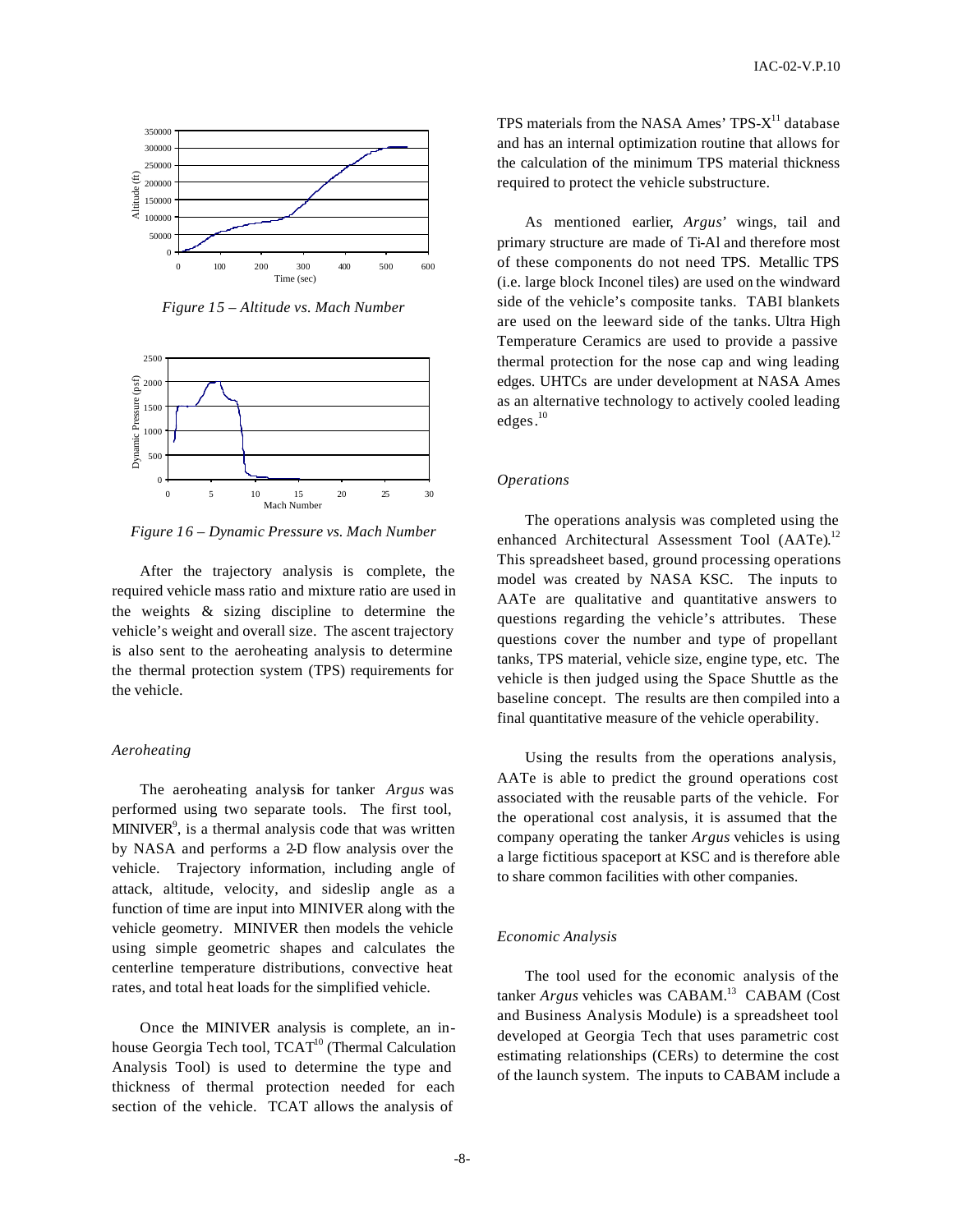

*Figure 15 – Altitude vs. Mach Number*



*Figure 16 – Dynamic Pressure vs. Mach Number*

After the trajectory analysis is complete, the required vehicle mass ratio and mixture ratio are used in the weights & sizing discipline to determine the vehicle's weight and overall size. The ascent trajectory is also sent to the aeroheating analysis to determine the thermal protection system (TPS) requirements for the vehicle.

## *Aeroheating*

The aeroheating analysis for tanker *Argus* was performed using two separate tools. The first tool,  $MINIVER<sup>9</sup>$ , is a thermal analysis code that was written by NASA and performs a 2-D flow analysis over the vehicle. Trajectory information, including angle of attack, altitude, velocity, and sideslip angle as a function of time are input into MINIVER along with the vehicle geometry. MINIVER then models the vehicle using simple geometric shapes and calculates the centerline temperature distributions, convective heat rates, and total heat loads for the simplified vehicle.

Once the MINIVER analysis is complete, an inhouse Georgia Tech tool, TCAT<sup>10</sup> (Thermal Calculation Analysis Tool) is used to determine the type and thickness of thermal protection needed for each section of the vehicle. TCAT allows the analysis of

TPS materials from the NASA Ames'  $TPS-X<sup>11</sup>$  database and has an internal optimization routine that allows for the calculation of the minimum TPS material thickness required to protect the vehicle substructure.

As mentioned earlier, *Argus'* wings, tail and primary structure are made of Ti-Al and therefore most of these components do not need TPS. Metallic TPS (i.e. large block Inconel tiles) are used on the windward side of the vehicle's composite tanks. TABI blankets are used on the leeward side of the tanks. Ultra High Temperature Ceramics are used to provide a passive thermal protection for the nose cap and wing leading edges. UHTCs are under development at NASA Ames as an alternative technology to actively cooled leading edges. 10

## *Operations*

The operations analysis was completed using the enhanced Architectural Assessment Tool (AATe).<sup>12</sup> This spreadsheet based, ground processing operations model was created by NASA KSC. The inputs to AATe are qualitative and quantitative answers to questions regarding the vehicle's attributes. These questions cover the number and type of propellant tanks, TPS material, vehicle size, engine type, etc. The vehicle is then judged using the Space Shuttle as the baseline concept. The results are then compiled into a final quantitative measure of the vehicle operability.

Using the results from the operations analysis, AATe is able to predict the ground operations cost associated with the reusable parts of the vehicle. For the operational cost analysis, it is assumed that the company operating the tanker *Argus* vehicles is using a large fictitious spaceport at KSC and is therefore able to share common facilities with other companies.

## *Economic Analysis*

The tool used for the economic analysis of the tanker *Argus* vehicles was CABAM. <sup>13</sup> CABAM (Cost and Business Analysis Module) is a spreadsheet tool developed at Georgia Tech that uses parametric cost estimating relationships (CERs) to determine the cost of the launch system. The inputs to CABAM include a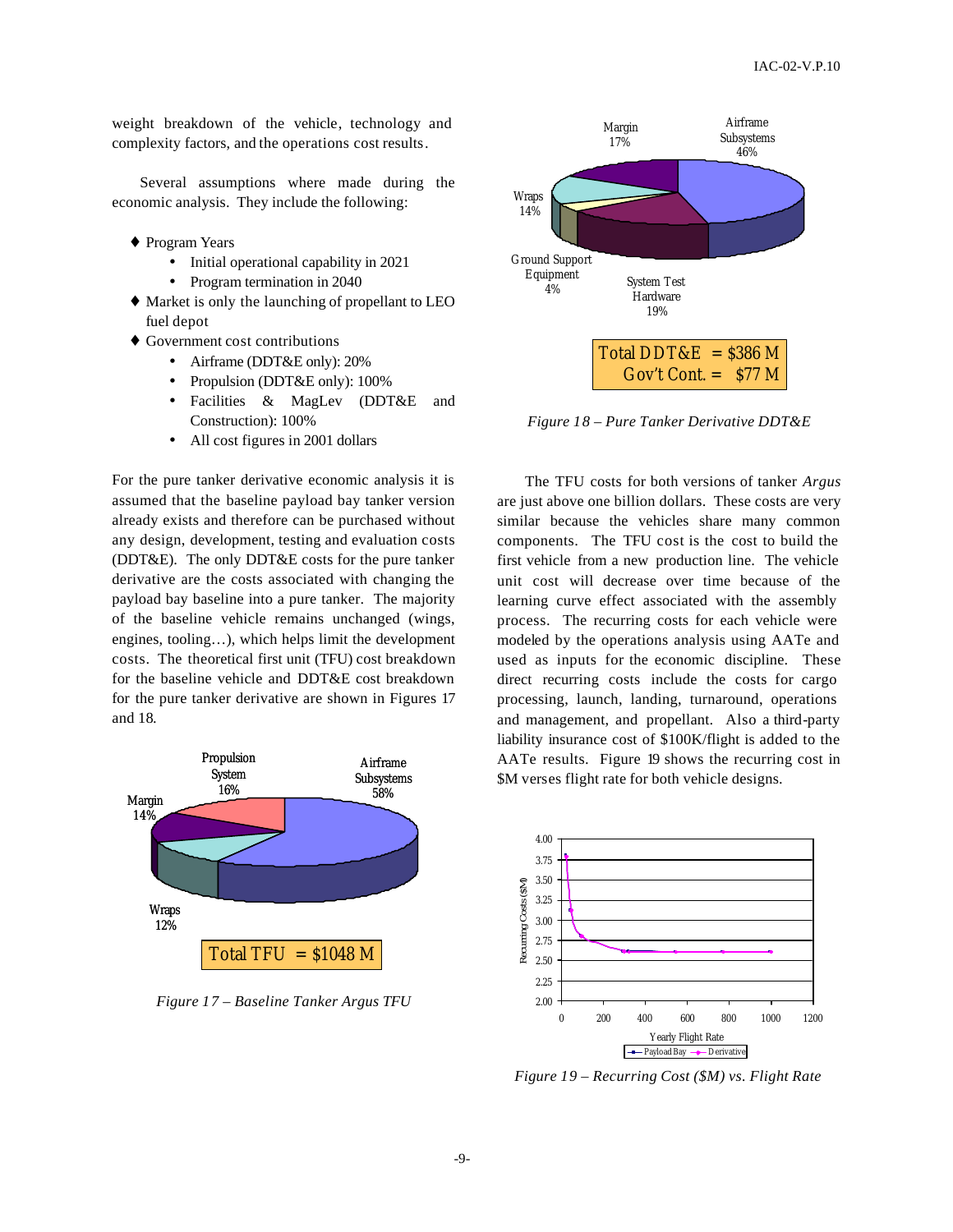weight breakdown of the vehicle, technology and complexity factors, and the operations cost results.

Several assumptions where made during the economic analysis. They include the following:

- ♦ Program Years
	- Initial operational capability in 2021
	- Program termination in 2040
- ♦ Market is only the launching of propellant to LEO fuel depot
- ♦ Government cost contributions
	- Airframe (DDT&E only): 20%
	- Propulsion (DDT&E only): 100%
	- Facilities & MagLev (DDT&E and Construction): 100%
	- All cost figures in 2001 dollars

For the pure tanker derivative economic analysis it is assumed that the baseline payload bay tanker version already exists and therefore can be purchased without any design, development, testing and evaluation costs (DDT&E). The only DDT&E costs for the pure tanker derivative are the costs associated with changing the payload bay baseline into a pure tanker. The majority of the baseline vehicle remains unchanged (wings, engines, tooling…), which helps limit the development costs. The theoretical first unit (TFU) cost breakdown for the baseline vehicle and DDT&E cost breakdown for the pure tanker derivative are shown in Figures 17 and 18.



*Figure 17 – Baseline Tanker Argus TFU*



*Figure 18 – Pure Tanker Derivative DDT&E*

The TFU costs for both versions of tanker *Argus* are just above one billion dollars. These costs are very similar because the vehicles share many common components. The TFU cost is the cost to build the first vehicle from a new production line. The vehicle unit cost will decrease over time because of the learning curve effect associated with the assembly process. The recurring costs for each vehicle were modeled by the operations analysis using AATe and used as inputs for the economic discipline. These direct recurring costs include the costs for cargo processing, launch, landing, turnaround, operations and management, and propellant. Also a third-party liability insurance cost of \$100K/flight is added to the AATe results. Figure 19 shows the recurring cost in \$M verses flight rate for both vehicle designs.



*Figure 19 – Recurring Cost (\$M) vs. Flight Rate*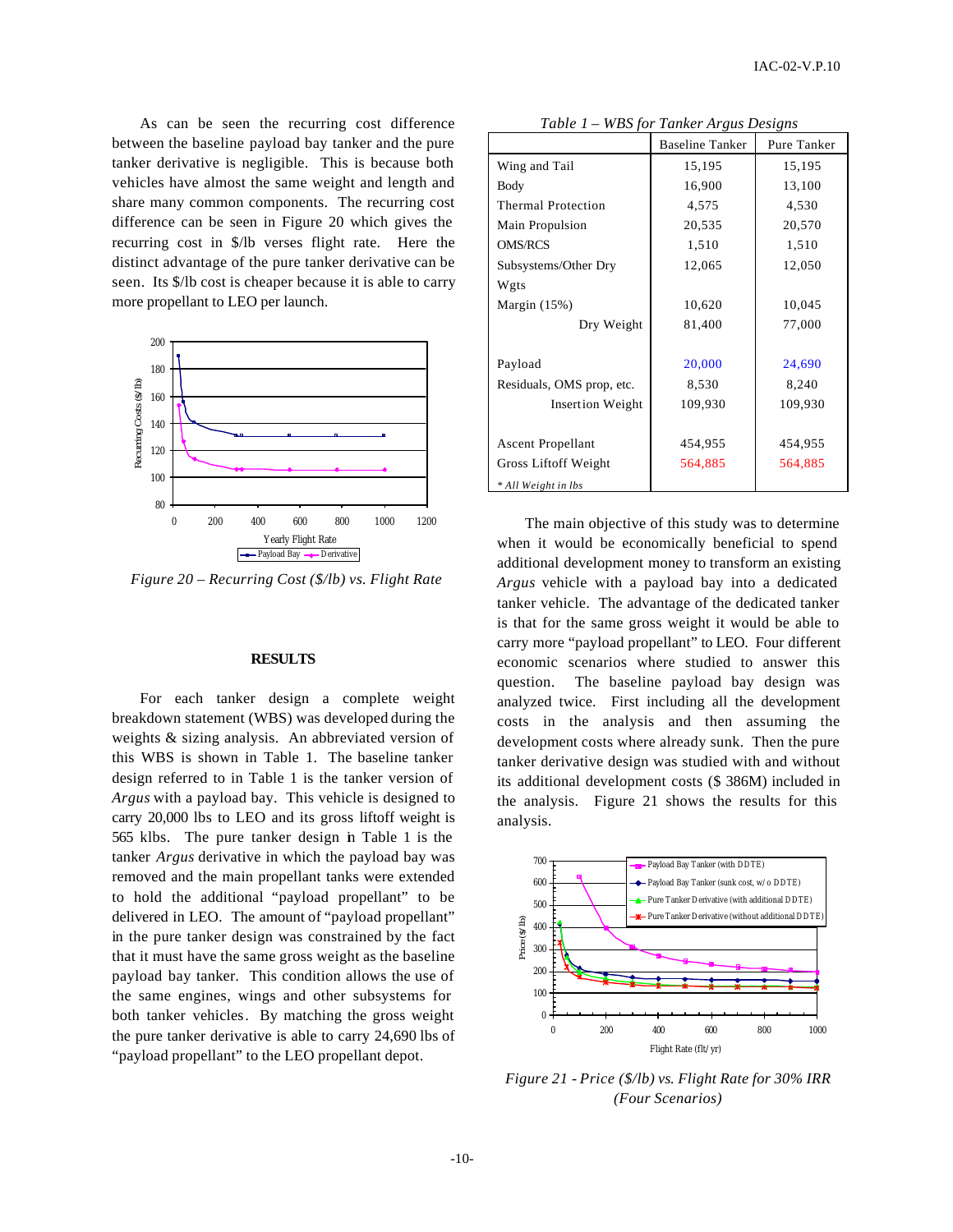As can be seen the recurring cost difference between the baseline payload bay tanker and the pure tanker derivative is negligible. This is because both vehicles have almost the same weight and length and share many common components. The recurring cost difference can be seen in Figure 20 which gives the recurring cost in \$/lb verses flight rate. Here the distinct advantage of the pure tanker derivative can be seen. Its \$/lb cost is cheaper because it is able to carry more propellant to LEO per launch.



*Figure 20 – Recurring Cost (\$/lb) vs. Flight Rate*

## **RESULTS**

For each tanker design a complete weight breakdown statement (WBS) was developed during the weights & sizing analysis. An abbreviated version of this WBS is shown in Table 1. The baseline tanker design referred to in Table 1 is the tanker version of *Argus* with a payload bay. This vehicle is designed to carry 20,000 lbs to LEO and its gross liftoff weight is 565 klbs. The pure tanker design in Table 1 is the tanker *Argus* derivative in which the payload bay was removed and the main propellant tanks were extended to hold the additional "payload propellant" to be delivered in LEO. The amount of "payload propellant" in the pure tanker design was constrained by the fact that it must have the same gross weight as the baseline payload bay tanker. This condition allows the use of the same engines, wings and other subsystems for both tanker vehicles. By matching the gross weight the pure tanker derivative is able to carry 24,690 lbs of "payload propellant" to the LEO propellant depot.

|                           | $1.25$ j $\sigma$ . There is the set of $\sigma$ |             |
|---------------------------|--------------------------------------------------|-------------|
|                           | <b>Baseline Tanker</b>                           | Pure Tanker |
| Wing and Tail             | 15,195                                           | 15,195      |
| Body                      | 16,900                                           | 13,100      |
| <b>Thermal Protection</b> | 4,575                                            | 4,530       |
| Main Propulsion           | 20,535                                           | 20,570      |
| <b>OMS/RCS</b>            | 1,510                                            | 1,510       |
| Subsystems/Other Dry      | 12,065                                           | 12,050      |
| Wgts                      |                                                  |             |
| Margin $(15%)$            | 10,620                                           | 10,045      |
| Dry Weight                | 81,400                                           | 77,000      |
|                           |                                                  |             |
| Payload                   | 20,000                                           | 24,690      |
| Residuals, OMS prop, etc. | 8,530                                            | 8,240       |
| <b>Insertion Weight</b>   | 109,930                                          | 109,930     |
|                           |                                                  |             |
| <b>Ascent Propellant</b>  | 454,955                                          | 454,955     |
| Gross Liftoff Weight      | 564,885                                          | 564,885     |
| * All Weight in lbs       |                                                  |             |

*Table 1 – WBS for Tanker Argus Designs*

The main objective of this study was to determine when it would be economically beneficial to spend additional development money to transform an existing *Argus* vehicle with a payload bay into a dedicated tanker vehicle. The advantage of the dedicated tanker is that for the same gross weight it would be able to carry more "payload propellant" to LEO. Four different economic scenarios where studied to answer this question. The baseline payload bay design was analyzed twice. First including all the development costs in the analysis and then assuming the development costs where already sunk. Then the pure tanker derivative design was studied with and without its additional development costs (\$ 386M) included in the analysis. Figure 21 shows the results for this analysis.



*Figure 21 - Price (\$/lb) vs. Flight Rate for 30% IRR (Four Scenarios)*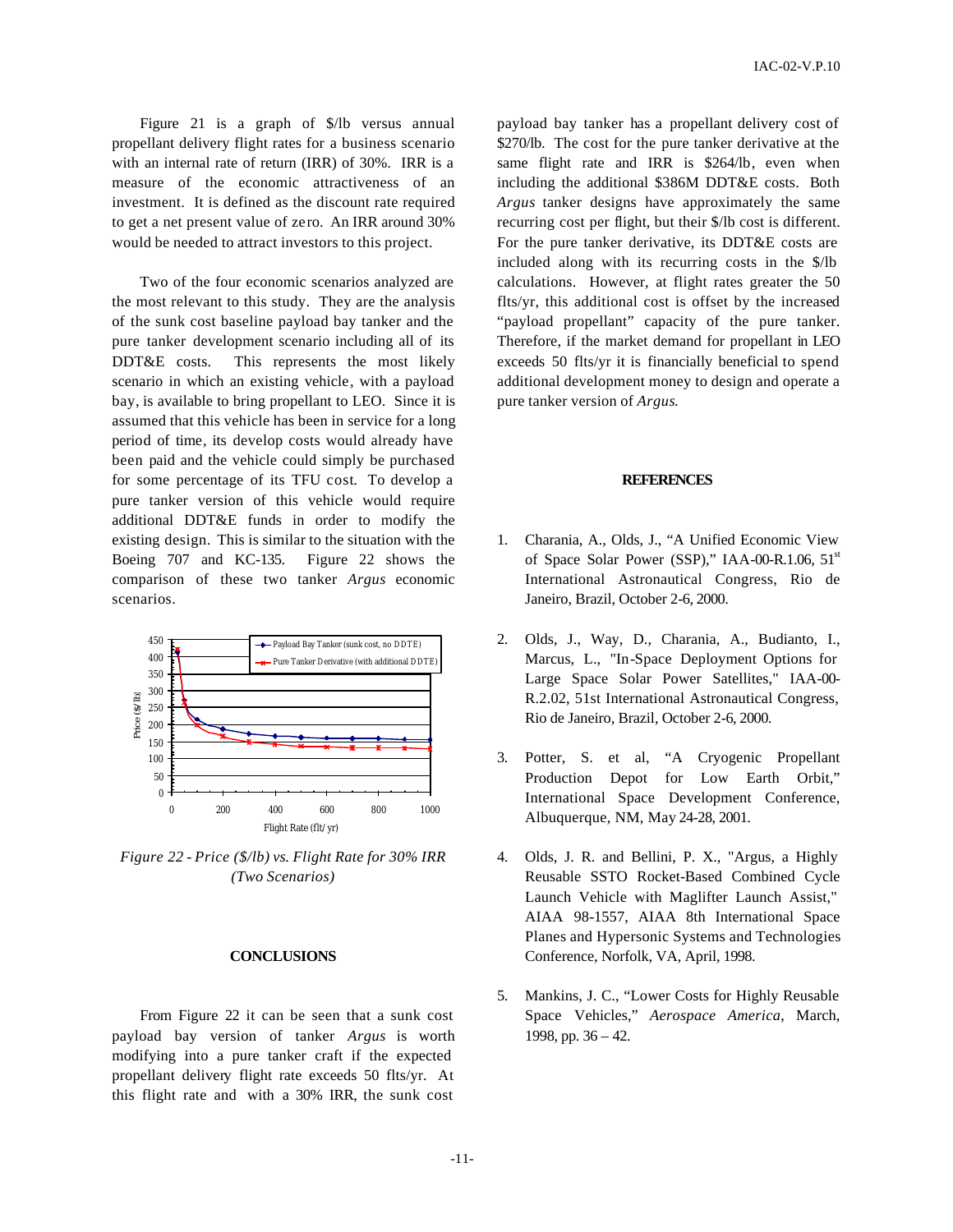Figure 21 is a graph of \$/lb versus annual propellant delivery flight rates for a business scenario with an internal rate of return (IRR) of 30%. IRR is a measure of the economic attractiveness of an investment. It is defined as the discount rate required to get a net present value of zero. An IRR around 30% would be needed to attract investors to this project.

Two of the four economic scenarios analyzed are the most relevant to this study. They are the analysis of the sunk cost baseline payload bay tanker and the pure tanker development scenario including all of its DDT&E costs. This represents the most likely scenario in which an existing vehicle, with a payload bay, is available to bring propellant to LEO. Since it is assumed that this vehicle has been in service for a long period of time, its develop costs would already have been paid and the vehicle could simply be purchased for some percentage of its TFU cost. To develop a pure tanker version of this vehicle would require additional DDT&E funds in order to modify the existing design. This is similar to the situation with the Boeing 707 and KC-135. Figure 22 shows the comparison of these two tanker *Argus* economic scenarios.



*Figure 22 - Price (\$/lb) vs. Flight Rate for 30% IRR (Two Scenarios)*

## **CONCLUSIONS**

From Figure 22 it can be seen that a sunk cost payload bay version of tanker *Argus* is worth modifying into a pure tanker craft if the expected propellant delivery flight rate exceeds 50 flts/yr. At this flight rate and with a 30% IRR, the sunk cost

payload bay tanker has a propellant delivery cost of \$270/lb. The cost for the pure tanker derivative at the same flight rate and IRR is \$264/lb, even when including the additional \$386M DDT&E costs. Both *Argus* tanker designs have approximately the same recurring cost per flight, but their \$/lb cost is different. For the pure tanker derivative, its DDT&E costs are included along with its recurring costs in the \$/lb calculations. However, at flight rates greater the 50 flts/yr, this additional cost is offset by the increased "payload propellant" capacity of the pure tanker. Therefore, if the market demand for propellant in LEO exceeds 50 flts/yr it is financially beneficial to spend additional development money to design and operate a pure tanker version of *Argus*.

## **REFERENCES**

- 1. Charania, A., Olds, J., "A Unified Economic View of Space Solar Power (SSP)," IAA-00-R.1.06, 51<sup>st</sup> International Astronautical Congress, Rio de Janeiro, Brazil, October 2-6, 2000.
- 2. Olds, J., Way, D., Charania, A., Budianto, I., Marcus, L., "In-Space Deployment Options for Large Space Solar Power Satellites," IAA-00- R.2.02, 51st International Astronautical Congress, Rio de Janeiro, Brazil, October 2-6, 2000.
- 3. Potter, S. et al, "A Cryogenic Propellant Production Depot for Low Earth Orbit," International Space Development Conference, Albuquerque, NM, May 24-28, 2001.
- 4. Olds, J. R. and Bellini, P. X., "Argus, a Highly Reusable SSTO Rocket-Based Combined Cycle Launch Vehicle with Maglifter Launch Assist," AIAA 98-1557, AIAA 8th International Space Planes and Hypersonic Systems and Technologies Conference, Norfolk, VA, April, 1998.
- 5. Mankins, J. C., "Lower Costs for Highly Reusable Space Vehicles," *Aerospace America*, March, 1998, pp. 36 – 42.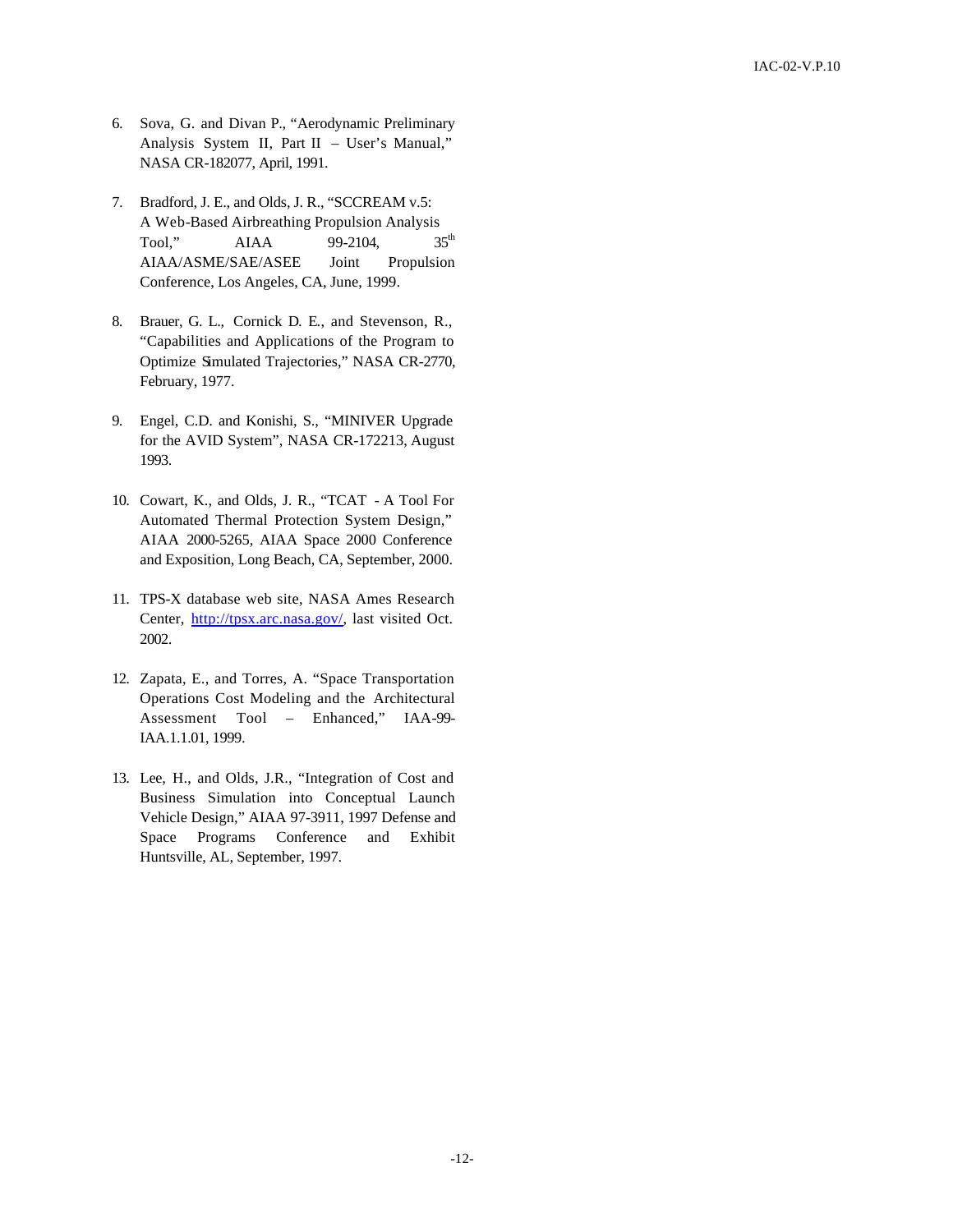- 6. Sova, G. and Divan P., "Aerodynamic Preliminary Analysis System II, Part II – User's Manual," NASA CR-182077, April, 1991.
- 7. Bradford, J. E., and Olds, J. R., "SCCREAM v.5: A Web-Based Airbreathing Propulsion Analysis Tool,"  $AIAA$  99-2104,  $35<sup>th</sup>$ AIAA/ASME/SAE/ASEE Joint Propulsion Conference, Los Angeles, CA, June, 1999.
- 8. Brauer, G. L., Cornick D. E., and Stevenson, R., "Capabilities and Applications of the Program to Optimize Simulated Trajectories," NASA CR-2770, February, 1977.
- 9. Engel, C.D. and Konishi, S., "MINIVER Upgrade for the AVID System", NASA CR-172213, August 1993.
- 10. Cowart, K., and Olds, J. R., "TCAT A Tool For Automated Thermal Protection System Design," AIAA 2000-5265, AIAA Space 2000 Conference and Exposition, Long Beach, CA, September, 2000.
- 11. TPS-X database web site, NASA Ames Research Center, http://tpsx.arc.nasa.gov/, last visited Oct. 2002.
- 12. Zapata, E., and Torres, A. "Space Transportation Operations Cost Modeling and the Architectural Assessment Tool – Enhanced," IAA-99- IAA.1.1.01, 1999.
- 13. Lee, H., and Olds, J.R., "Integration of Cost and Business Simulation into Conceptual Launch Vehicle Design," AIAA 97-3911, 1997 Defense and Space Programs Conference and Exhibit Huntsville, AL, September, 1997.